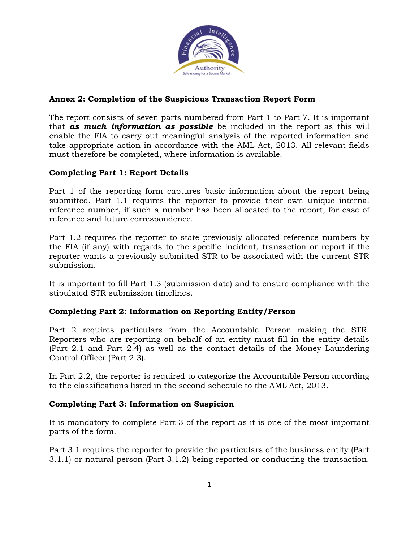

## **Annex 2: Completion of the Suspicious Transaction Report Form**

The report consists of seven parts numbered from Part 1 to Part 7. It is important that *as much information as possible* be included in the report as this will enable the FIA to carry out meaningful analysis of the reported information and take appropriate action in accordance with the AML Act, 2013. All relevant fields must therefore be completed, where information is available.

# **Completing Part 1: Report Details**

Part 1 of the reporting form captures basic information about the report being submitted. Part 1.1 requires the reporter to provide their own unique internal reference number, if such a number has been allocated to the report, for ease of reference and future correspondence.

Part 1.2 requires the reporter to state previously allocated reference numbers by the FIA (if any) with regards to the specific incident, transaction or report if the reporter wants a previously submitted STR to be associated with the current STR submission.

It is important to fill Part 1.3 (submission date) and to ensure compliance with the stipulated STR submission timelines.

## **Completing Part 2: Information on Reporting Entity/Person**

Part 2 requires particulars from the Accountable Person making the STR. Reporters who are reporting on behalf of an entity must fill in the entity details (Part 2.1 and Part 2.4) as well as the contact details of the Money Laundering Control Officer (Part 2.3).

In Part 2.2, the reporter is required to categorize the Accountable Person according to the classifications listed in the second schedule to the AML Act, 2013.

## **Completing Part 3: Information on Suspicion**

It is mandatory to complete Part 3 of the report as it is one of the most important parts of the form.

Part 3.1 requires the reporter to provide the particulars of the business entity (Part 3.1.1) or natural person (Part 3.1.2) being reported or conducting the transaction.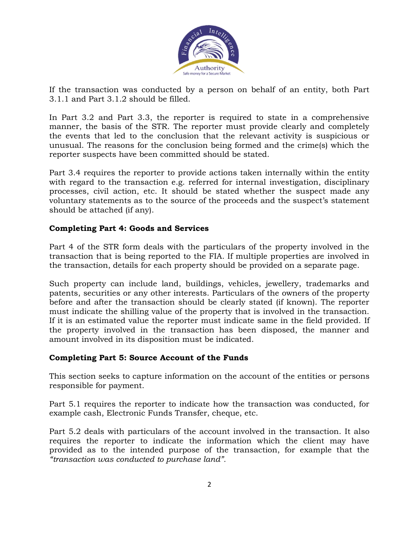

If the transaction was conducted by a person on behalf of an entity, both Part 3.1.1 and Part 3.1.2 should be filled.

In Part 3.2 and Part 3.3, the reporter is required to state in a comprehensive manner, the basis of the STR. The reporter must provide clearly and completely the events that led to the conclusion that the relevant activity is suspicious or unusual. The reasons for the conclusion being formed and the crime(s) which the reporter suspects have been committed should be stated.

Part 3.4 requires the reporter to provide actions taken internally within the entity with regard to the transaction e.g. referred for internal investigation, disciplinary processes, civil action, etc. It should be stated whether the suspect made any voluntary statements as to the source of the proceeds and the suspect's statement should be attached (if any).

### **Completing Part 4: Goods and Services**

Part 4 of the STR form deals with the particulars of the property involved in the transaction that is being reported to the FIA. If multiple properties are involved in the transaction, details for each property should be provided on a separate page.

Such property can include land, buildings, vehicles, jewellery, trademarks and patents, securities or any other interests. Particulars of the owners of the property before and after the transaction should be clearly stated (if known). The reporter must indicate the shilling value of the property that is involved in the transaction. If it is an estimated value the reporter must indicate same in the field provided. If the property involved in the transaction has been disposed, the manner and amount involved in its disposition must be indicated.

#### **Completing Part 5: Source Account of the Funds**

This section seeks to capture information on the account of the entities or persons responsible for payment.

Part 5.1 requires the reporter to indicate how the transaction was conducted, for example cash, Electronic Funds Transfer, cheque, etc.

Part 5.2 deals with particulars of the account involved in the transaction. It also requires the reporter to indicate the information which the client may have provided as to the intended purpose of the transaction, for example that the *"transaction was conducted to purchase land".*